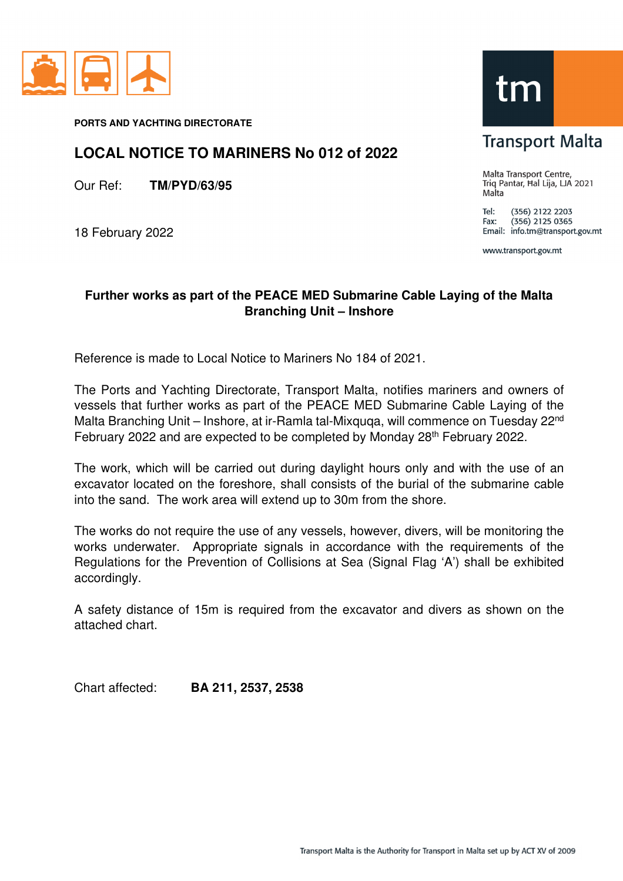

**PORTS AND YACHTING DIRECTORATE** 

## **LOCAL NOTICE TO MARINERS No 012 of 2022**

Our Ref: **TM/PYD/63/95**

18 February 2022



**Transport Malta** 

Malta Transport Centre, Triq Pantar, Hal Lija, LJA 2021 Malta

Tel: (356) 2122 2203  $(356)$  2125 0365 Fax: Email: info.tm@transport.gov.mt

www.transport.gov.mt

## **Further works as part of the PEACE MED Submarine Cable Laying of the Malta Branching Unit – Inshore**

Reference is made to Local Notice to Mariners No 184 of 2021.

The Ports and Yachting Directorate, Transport Malta, notifies mariners and owners of vessels that further works as part of the PEACE MED Submarine Cable Laying of the Malta Branching Unit – Inshore, at ir-Ramla tal-Mixquqa, will commence on Tuesday 22<sup>nd</sup> February 2022 and are expected to be completed by Monday 28<sup>th</sup> February 2022.

The work, which will be carried out during daylight hours only and with the use of an excavator located on the foreshore, shall consists of the burial of the submarine cable into the sand. The work area will extend up to 30m from the shore.

The works do not require the use of any vessels, however, divers, will be monitoring the works underwater. Appropriate signals in accordance with the requirements of the Regulations for the Prevention of Collisions at Sea (Signal Flag 'A') shall be exhibited accordingly.

A safety distance of 15m is required from the excavator and divers as shown on the attached chart.

Chart affected: **BA 211, 2537, 2538**